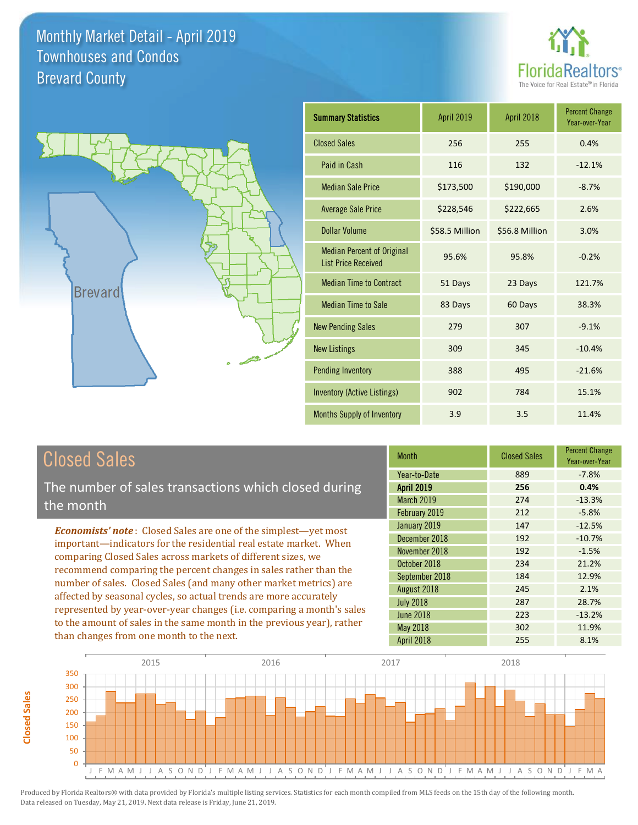



| <b>Summary Statistics</b>                                       | April 2019     | April 2018     | <b>Percent Change</b><br>Year-over-Year |
|-----------------------------------------------------------------|----------------|----------------|-----------------------------------------|
| <b>Closed Sales</b>                                             | 256            | 255            | 0.4%                                    |
| Paid in Cash                                                    | 116            | 132            | $-12.1%$                                |
| <b>Median Sale Price</b>                                        | \$173,500      | \$190,000      | $-8.7%$                                 |
| <b>Average Sale Price</b>                                       | \$228,546      | \$222,665      | 2.6%                                    |
| Dollar Volume                                                   | \$58.5 Million | \$56.8 Million | 3.0%                                    |
| <b>Median Percent of Original</b><br><b>List Price Received</b> | 95.6%          | 95.8%          | $-0.2%$                                 |
| <b>Median Time to Contract</b>                                  | 51 Days        | 23 Days        | 121.7%                                  |
| <b>Median Time to Sale</b>                                      | 83 Days        | 60 Days        | 38.3%                                   |
| <b>New Pending Sales</b>                                        | 279            | 307            | $-9.1%$                                 |
| <b>New Listings</b>                                             | 309            | 345            | $-10.4%$                                |
| <b>Pending Inventory</b>                                        | 388            | 495            | $-21.6%$                                |
| Inventory (Active Listings)                                     | 902            | 784            | 15.1%                                   |
| Months Supply of Inventory                                      | 3.9            | 3.5            | 11.4%                                   |

# Closed Sales

The number of sales transactions which closed during the month

*Economists' note* : Closed Sales are one of the simplest—yet most important—indicators for the residential real estate market. When comparing Closed Sales across markets of different sizes, we recommend comparing the percent changes in sales rather than the number of sales. Closed Sales (and many other market metrics) are affected by seasonal cycles, so actual trends are more accurately represented by year-over-year changes (i.e. comparing a month's sales to the amount of sales in the same month in the previous year), rather than changes from one month to the next.

| <b>Month</b>      | <b>Closed Sales</b> | <b>Percent Change</b><br>Year-over-Year |
|-------------------|---------------------|-----------------------------------------|
| Year-to-Date      | 889                 | $-7.8%$                                 |
| <b>April 2019</b> | 256                 | 0.4%                                    |
| <b>March 2019</b> | 274                 | $-13.3%$                                |
| February 2019     | 212                 | $-5.8%$                                 |
| January 2019      | 147                 | $-12.5%$                                |
| December 2018     | 192                 | $-10.7%$                                |
| November 2018     | 192                 | $-1.5%$                                 |
| October 2018      | 234                 | 21.2%                                   |
| September 2018    | 184                 | 12.9%                                   |
| August 2018       | 245                 | 2.1%                                    |
| <b>July 2018</b>  | 287                 | 28.7%                                   |
| <b>June 2018</b>  | 223                 | $-13.2%$                                |
| <b>May 2018</b>   | 302                 | 11.9%                                   |
| April 2018        | 255                 | 8.1%                                    |

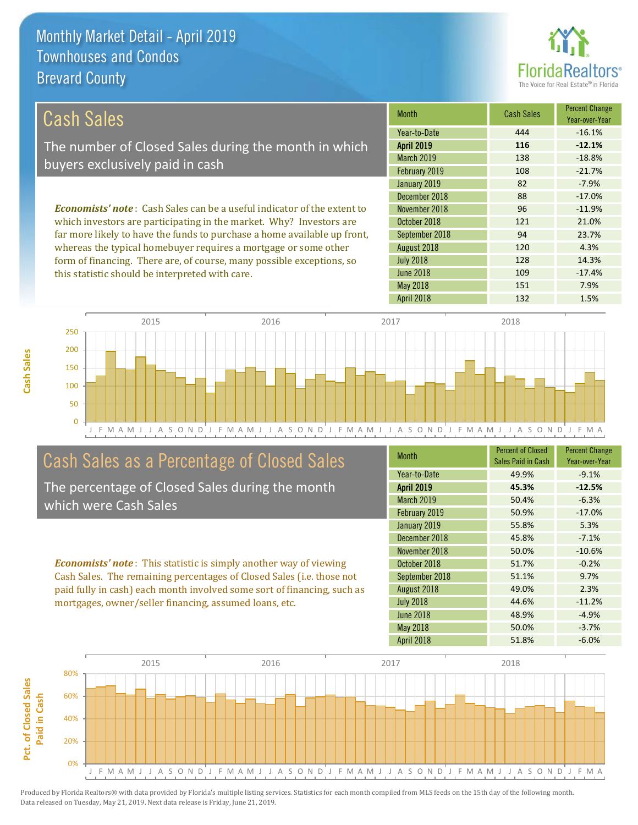this statistic should be interpreted with care.



109 -17.4%

| Cash Sales                                                                     | <b>Month</b>      | <b>Cash Sales</b> | <b>Percent Change</b><br>Year-over-Year |
|--------------------------------------------------------------------------------|-------------------|-------------------|-----------------------------------------|
|                                                                                | Year-to-Date      | 444               | $-16.1%$                                |
| The number of Closed Sales during the month in which                           | <b>April 2019</b> | 116               | $-12.1%$                                |
| buyers exclusively paid in cash                                                | <b>March 2019</b> | 138               | $-18.8%$                                |
|                                                                                | February 2019     | 108               | $-21.7%$                                |
|                                                                                | January 2019      | 82                | $-7.9%$                                 |
|                                                                                | December 2018     | 88                | $-17.0%$                                |
| <b>Economists' note:</b> Cash Sales can be a useful indicator of the extent to | November 2018     | 96                | $-11.9%$                                |
| which investors are participating in the market. Why? Investors are            | October 2018      | 121               | 21.0%                                   |
| far more likely to have the funds to purchase a home available up front,       | September 2018    | 94                | 23.7%                                   |
| whereas the typical homebuyer requires a mortgage or some other                | August 2018       | 120               | 4.3%                                    |
| form of financing. There are, of course, many possible exceptions, so          | <b>July 2018</b>  | 128               | 14.3%                                   |



# Cash Sales as a Percentage of Closed Sales

The percentage of Closed Sales during the month which were Cash Sales

*Economists' note* : This statistic is simply another way of viewing Cash Sales. The remaining percentages of Closed Sales (i.e. those not paid fully in cash) each month involved some sort of financing, such as mortgages, owner/seller financing, assumed loans, etc.

| <b>Month</b>      | <b>Percent of Closed</b><br>Sales Paid in Cash | <b>Percent Change</b><br>Year-over-Year |
|-------------------|------------------------------------------------|-----------------------------------------|
| Year-to-Date      | 49.9%                                          | $-9.1%$                                 |
| <b>April 2019</b> | 45.3%                                          | $-12.5%$                                |
| March 2019        | 50.4%                                          | $-6.3%$                                 |
| February 2019     | 50.9%                                          | $-17.0%$                                |
| January 2019      | 55.8%                                          | 5.3%                                    |
| December 2018     | 45.8%                                          | $-7.1%$                                 |
| November 2018     | 50.0%                                          | $-10.6%$                                |
| October 2018      | 51.7%                                          | $-0.2%$                                 |
| September 2018    | 51.1%                                          | 9.7%                                    |
| August 2018       | 49.0%                                          | 2.3%                                    |
| <b>July 2018</b>  | 44.6%                                          | $-11.2%$                                |
| <b>June 2018</b>  | 48.9%                                          | $-4.9%$                                 |
| May 2018          | 50.0%                                          | $-3.7%$                                 |
| <b>April 2018</b> | 51.8%                                          | $-6.0%$                                 |

April 2018 132 1.5%

May 2018 151 151 7.9%

June 2018

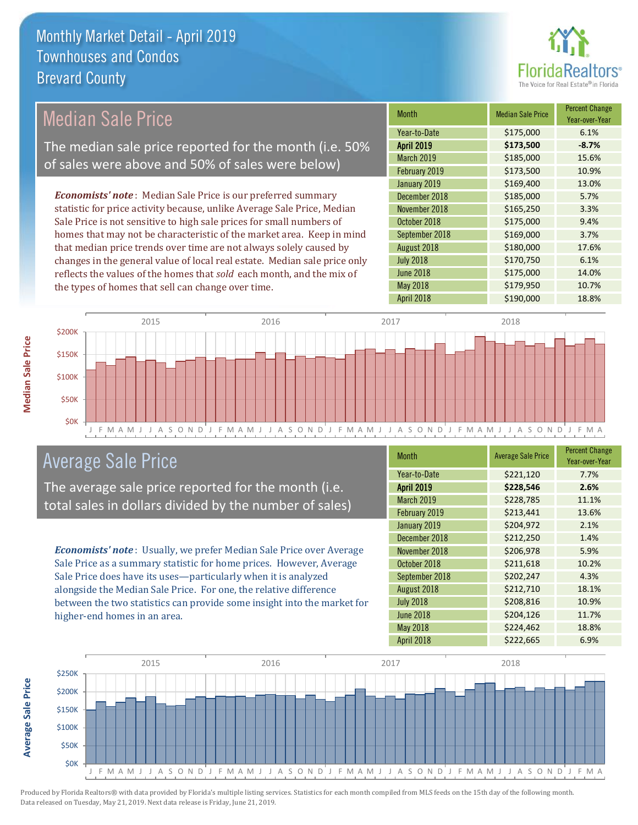

#### Month Median Sale Price Percent Change Year-over-Year April 2019 **\$173,500 -8.7%** Year-to-Date \$175,000 6.1% September 2018 **\$169,000** 3.7% March 2019 \$185,000 15.6% February 2019 **\$173,500** 10.9% November 2018 **\$165,250** 3.3% October 2018 **\$175,000** 9.4% January 2019 **\$169,400** 13.0% December 2018 **\$185,000** 5.7% August 2018 **\$180,000** 17.6% July 2018 **\$170,750** 6.1% June 2018 **\$175,000** 14.0% May 2018 **6179,950 10.7%** April 2018 **\$190,000** 18.8% *Economists' note* : Median Sale Price is our preferred summary statistic for price activity because, unlike Average Sale Price, Median Sale Price is not sensitive to high sale prices for small numbers of homes that may not be characteristic of the market area. Keep in mind that median price trends over time are not always solely caused by changes in the general value of local real estate. Median sale price only reflects the values of the homes that *sold* each month, and the mix of the types of homes that sell can change over time. Median Sale Price The median sale price reported for the month (i.e. 50% of sales were above and 50% of sales were below)



# Average Sale Price

The average sale price reported for the month (i.e. total sales in dollars divided by the number of sales)

*Economists' note* : Usually, we prefer Median Sale Price over Average Sale Price as a summary statistic for home prices. However, Average Sale Price does have its uses—particularly when it is analyzed alongside the Median Sale Price. For one, the relative difference between the two statistics can provide some insight into the market for higher-end homes in an area.

| Month             | <b>Average Sale Price</b> | <b>Percent Change</b><br>Year-over-Year |
|-------------------|---------------------------|-----------------------------------------|
| Year-to-Date      | \$221,120                 | 7.7%                                    |
| <b>April 2019</b> | \$228,546                 | 2.6%                                    |
| March 2019        | \$228,785                 | 11.1%                                   |
| February 2019     | \$213,441                 | 13.6%                                   |
| January 2019      | \$204,972                 | 2.1%                                    |
| December 2018     | \$212,250                 | 1.4%                                    |
| November 2018     | \$206,978                 | 5.9%                                    |
| October 2018      | \$211,618                 | 10.2%                                   |
| September 2018    | \$202,247                 | 4.3%                                    |
| August 2018       | \$212,710                 | 18.1%                                   |
| <b>July 2018</b>  | \$208,816                 | 10.9%                                   |
| <b>June 2018</b>  | \$204,126                 | 11.7%                                   |
| May 2018          | \$224,462                 | 18.8%                                   |
| April 2018        | \$222,665                 | 6.9%                                    |



**Average Sale Price**

**Average Sale Price**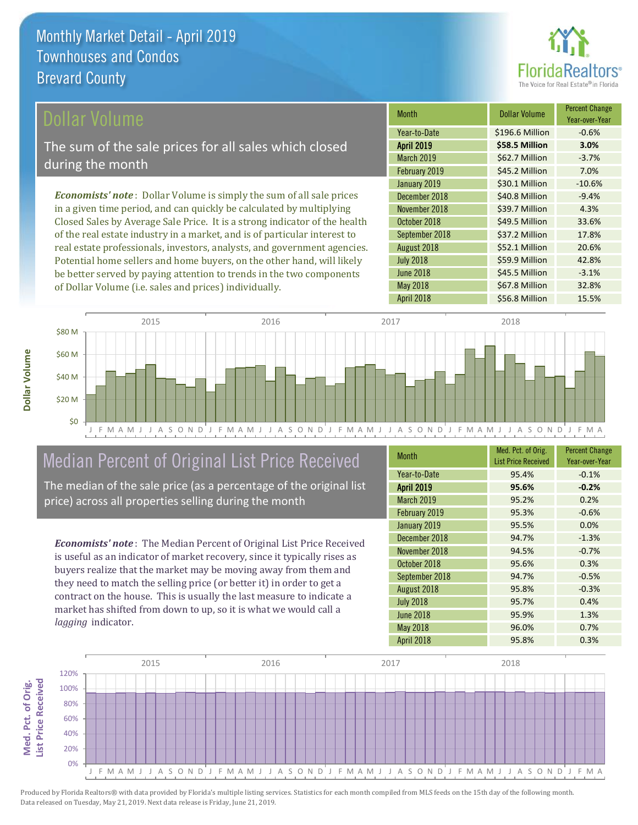

## ollar Volume

The sum of the sale prices for all sales which closed during the month

*Economists' note* : Dollar Volume is simply the sum of all sale prices in a given time period, and can quickly be calculated by multiplying Closed Sales by Average Sale Price. It is a strong indicator of the health of the real estate industry in a market, and is of particular interest to real estate professionals, investors, analysts, and government agencies. Potential home sellers and home buyers, on the other hand, will likely be better served by paying attention to trends in the two components of Dollar Volume (i.e. sales and prices) individually.

| Month             | <b>Dollar Volume</b> | <b>Percent Change</b><br>Year-over-Year |
|-------------------|----------------------|-----------------------------------------|
| Year-to-Date      | \$196.6 Million      | $-0.6%$                                 |
| <b>April 2019</b> | \$58.5 Million       | 3.0%                                    |
| <b>March 2019</b> | \$62.7 Million       | $-3.7%$                                 |
| February 2019     | \$45.2 Million       | 7.0%                                    |
| January 2019      | \$30.1 Million       | $-10.6%$                                |
| December 2018     | \$40.8 Million       | $-9.4%$                                 |
| November 2018     | \$39.7 Million       | 4.3%                                    |
| October 2018      | \$49.5 Million       | 33.6%                                   |
| September 2018    | \$37.2 Million       | 17.8%                                   |
| August 2018       | \$52.1 Million       | 20.6%                                   |
| <b>July 2018</b>  | \$59.9 Million       | 42.8%                                   |
| <b>June 2018</b>  | \$45.5 Million       | $-3.1%$                                 |
| May 2018          | \$67.8 Million       | 32.8%                                   |
| April 2018        | \$56.8 Million       | 15.5%                                   |



# Median Percent of Original List Price Received

The median of the sale price (as a percentage of the original list price) across all properties selling during the month

*Economists' note* : The Median Percent of Original List Price Received is useful as an indicator of market recovery, since it typically rises as buyers realize that the market may be moving away from them and they need to match the selling price (or better it) in order to get a contract on the house. This is usually the last measure to indicate a market has shifted from down to up, so it is what we would call a *lagging* indicator.

| <b>Month</b>      | Med. Pct. of Orig.<br><b>List Price Received</b> | <b>Percent Change</b><br>Year-over-Year |
|-------------------|--------------------------------------------------|-----------------------------------------|
| Year-to-Date      | 95.4%                                            | $-0.1%$                                 |
| <b>April 2019</b> | 95.6%                                            | $-0.2%$                                 |
| March 2019        | 95.2%                                            | 0.2%                                    |
| February 2019     | 95.3%                                            | $-0.6%$                                 |
| January 2019      | 95.5%                                            | 0.0%                                    |
| December 2018     | 94.7%                                            | $-1.3%$                                 |
| November 2018     | 94.5%                                            | $-0.7%$                                 |
| October 2018      | 95.6%                                            | 0.3%                                    |
| September 2018    | 94.7%                                            | $-0.5%$                                 |
| August 2018       | 95.8%                                            | $-0.3%$                                 |
| <b>July 2018</b>  | 95.7%                                            | 0.4%                                    |
| <b>June 2018</b>  | 95.9%                                            | 1.3%                                    |
| May 2018          | 96.0%                                            | 0.7%                                    |
| April 2018        | 95.8%                                            | 0.3%                                    |

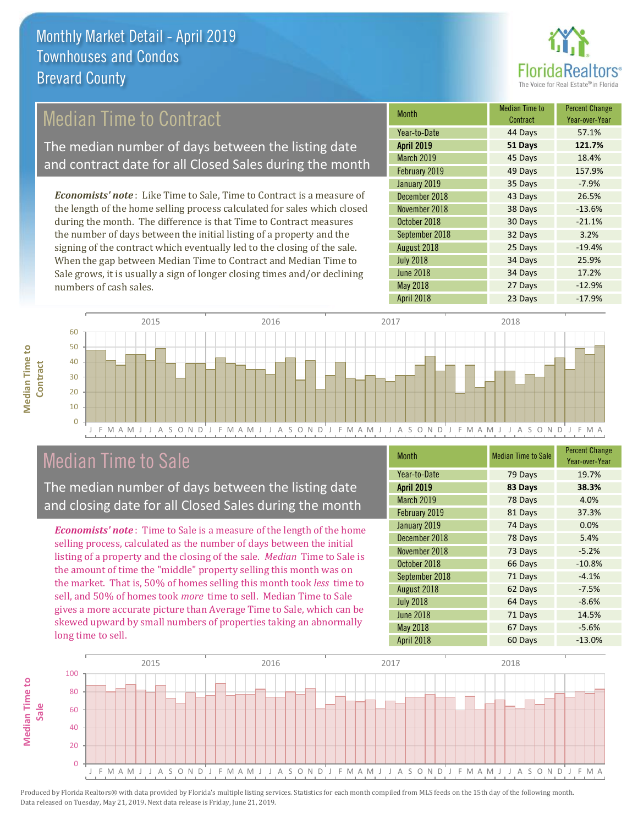

# Median Time to Contract

The median number of days between the listing date and contract date for all Closed Sales during the month

*Economists' note* : Like Time to Sale, Time to Contract is a measure of the length of the home selling process calculated for sales which closed during the month. The difference is that Time to Contract measures the number of days between the initial listing of a property and the signing of the contract which eventually led to the closing of the sale. When the gap between Median Time to Contract and Median Time to Sale grows, it is usually a sign of longer closing times and/or declining numbers of cash sales.

| Month             | <b>Median Time to</b><br>Contract | <b>Percent Change</b><br>Year-over-Year |
|-------------------|-----------------------------------|-----------------------------------------|
| Year-to-Date      | 44 Days                           | 57.1%                                   |
| <b>April 2019</b> | 51 Days                           | 121.7%                                  |
| <b>March 2019</b> | 45 Days                           | 18.4%                                   |
| February 2019     | 49 Days                           | 157.9%                                  |
| January 2019      | 35 Days                           | $-7.9%$                                 |
| December 2018     | 43 Days                           | 26.5%                                   |
| November 2018     | 38 Days                           | $-13.6%$                                |
| October 2018      | 30 Days                           | $-21.1%$                                |
| September 2018    | 32 Days                           | 3.2%                                    |
| August 2018       | 25 Days                           | $-19.4%$                                |
| <b>July 2018</b>  | 34 Days                           | 25.9%                                   |
| <b>June 2018</b>  | 34 Days                           | 17.2%                                   |
| May 2018          | 27 Days                           | $-12.9%$                                |
| April 2018        | 23 Days                           | $-17.9%$                                |



## Median Time to Sale

**Median Time to** 

**Median Time to** 

The median number of days between the listing date and closing date for all Closed Sales during the month

*Economists' note* : Time to Sale is a measure of the length of the home selling process, calculated as the number of days between the initial listing of a property and the closing of the sale. *Median* Time to Sale is the amount of time the "middle" property selling this month was on the market. That is, 50% of homes selling this month took *less* time to sell, and 50% of homes took *more* time to sell. Median Time to Sale gives a more accurate picture than Average Time to Sale, which can be skewed upward by small numbers of properties taking an abnormally long time to sell.

| <b>Month</b>      | <b>Median Time to Sale</b> | <b>Percent Change</b><br>Year-over-Year |
|-------------------|----------------------------|-----------------------------------------|
| Year-to-Date      | 79 Days                    | 19.7%                                   |
| <b>April 2019</b> | 83 Days                    | 38.3%                                   |
| March 2019        | 78 Days                    | 4.0%                                    |
| February 2019     | 81 Days                    | 37.3%                                   |
| January 2019      | 74 Days                    | 0.0%                                    |
| December 2018     | 78 Days                    | 5.4%                                    |
| November 2018     | 73 Days                    | $-5.2%$                                 |
| October 2018      | 66 Days                    | $-10.8%$                                |
| September 2018    | 71 Days                    | $-4.1%$                                 |
| August 2018       | 62 Days                    | $-7.5%$                                 |
| <b>July 2018</b>  | 64 Days                    | $-8.6%$                                 |
| <b>June 2018</b>  | 71 Days                    | 14.5%                                   |
| <b>May 2018</b>   | 67 Days                    | $-5.6%$                                 |
| April 2018        | 60 Days                    | $-13.0%$                                |

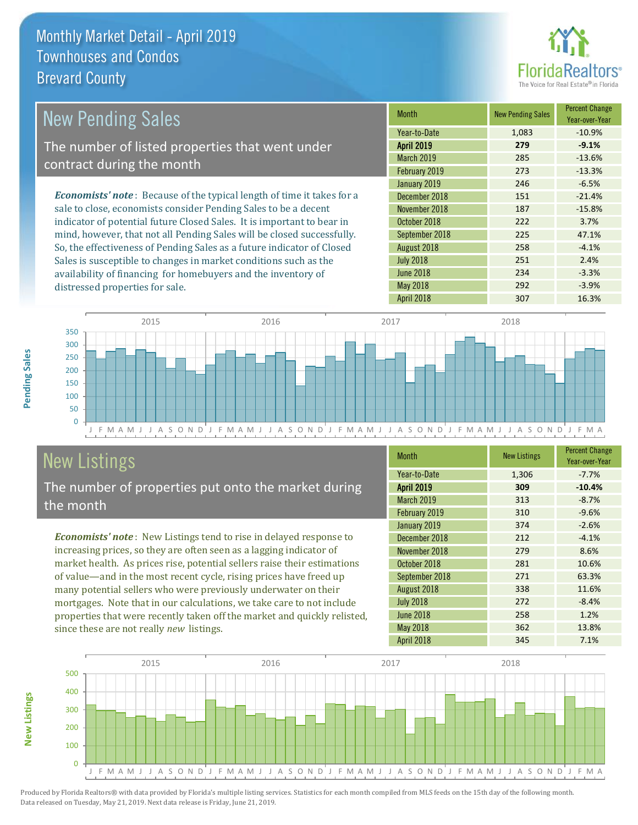distressed properties for sale.



| <b>New Pending Sales</b>                                                       | <b>Month</b>      | <b>New Pending Sales</b> | <b>Percent Change</b><br>Year-over-Year |
|--------------------------------------------------------------------------------|-------------------|--------------------------|-----------------------------------------|
|                                                                                | Year-to-Date      | 1,083                    | $-10.9%$                                |
| The number of listed properties that went under                                | <b>April 2019</b> | 279                      | $-9.1%$                                 |
| contract during the month                                                      | <b>March 2019</b> | 285                      | $-13.6%$                                |
|                                                                                | February 2019     | 273                      | $-13.3%$                                |
|                                                                                | January 2019      | 246                      | $-6.5%$                                 |
| <b>Economists' note</b> : Because of the typical length of time it takes for a | December 2018     | 151                      | $-21.4%$                                |
| sale to close, economists consider Pending Sales to be a decent                | November 2018     | 187                      | $-15.8%$                                |
| indicator of potential future Closed Sales. It is important to bear in         | October 2018      | 222                      | 3.7%                                    |
| mind, however, that not all Pending Sales will be closed successfully.         | September 2018    | 225                      | 47.1%                                   |
| So, the effectiveness of Pending Sales as a future indicator of Closed         | August 2018       | 258                      | $-4.1%$                                 |
| Sales is susceptible to changes in market conditions such as the               | <b>July 2018</b>  | 251                      | 2.4%                                    |

J F M A M J J A S O N D J F M A M J J A S O N D J F M A M J J A S O N D J F M A M J J A S O N D J F M A  $\Omega$ 50 100 150 200 250 300 350 2015 2016 2017 2018

# New Listings

The number of properties put onto the market during the month

availability of financing for homebuyers and the inventory of

*Economists' note* : New Listings tend to rise in delayed response to increasing prices, so they are often seen as a lagging indicator of market health. As prices rise, potential sellers raise their estimations of value—and in the most recent cycle, rising prices have freed up many potential sellers who were previously underwater on their mortgages. Note that in our calculations, we take care to not include properties that were recently taken off the market and quickly relisted, since these are not really *new* listings.

| <b>Month</b>      | <b>New Listings</b> | <b>Percent Change</b><br>Year-over-Year |
|-------------------|---------------------|-----------------------------------------|
| Year-to-Date      | 1,306               | $-7.7%$                                 |
| <b>April 2019</b> | 309                 | $-10.4%$                                |
| March 2019        | 313                 | $-8.7%$                                 |
| February 2019     | 310                 | $-9.6%$                                 |
| January 2019      | 374                 | $-2.6%$                                 |
| December 2018     | 212                 | $-4.1%$                                 |
| November 2018     | 279                 | 8.6%                                    |
| October 2018      | 281                 | 10.6%                                   |
| September 2018    | 271                 | 63.3%                                   |
| August 2018       | 338                 | 11.6%                                   |
| <b>July 2018</b>  | 272                 | $-8.4%$                                 |
| <b>June 2018</b>  | 258                 | 1.2%                                    |
| <b>May 2018</b>   | 362                 | 13.8%                                   |
| April 2018        | 345                 | 7.1%                                    |

June 2018 **234** -3.3% May 2018 292 292 3.9% April 2018 307 307 16.3%



Produced by Florida Realtors® with data provided by Florida's multiple listing services. Statistics for each month compiled from MLS feeds on the 15th day of the following month. Data released on Tuesday, May 21, 2019. Next data release is Friday, June 21, 2019.

**New Listings**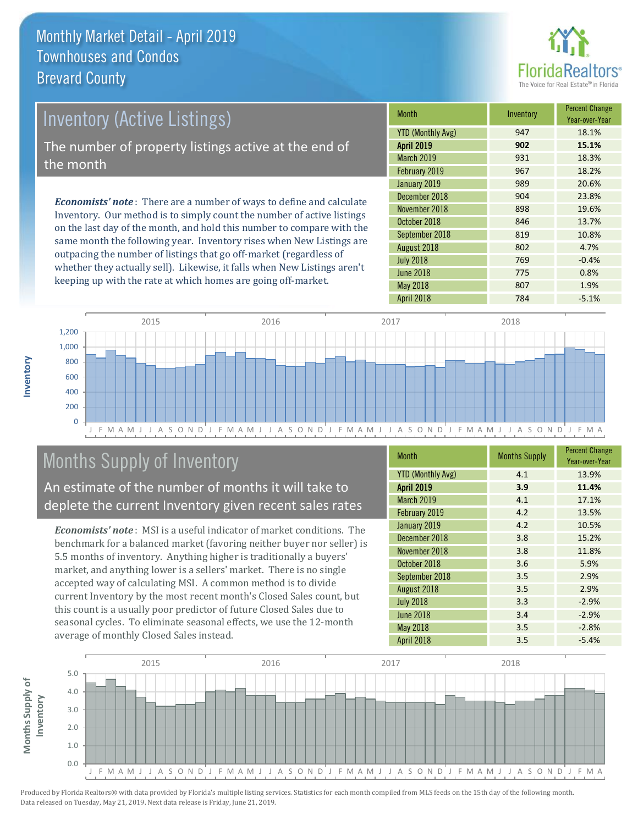

# *Economists' note* : There are a number of ways to define and calculate Inventory (Active Listings) The number of property listings active at the end of the month

Inventory. Our method is to simply count the number of active listings on the last day of the month, and hold this number to compare with the same month the following year. Inventory rises when New Listings are outpacing the number of listings that go off-market (regardless of whether they actually sell). Likewise, it falls when New Listings aren't keeping up with the rate at which homes are going off-market.

| <b>Month</b>             | Inventory | <b>Percent Change</b><br>Year-over-Year |
|--------------------------|-----------|-----------------------------------------|
| <b>YTD (Monthly Avg)</b> | 947       | 18.1%                                   |
| April 2019               | 902       | 15.1%                                   |
| March 2019               | 931       | 18.3%                                   |
| February 2019            | 967       | 18.2%                                   |
| January 2019             | 989       | 20.6%                                   |
| December 2018            | 904       | 23.8%                                   |
| November 2018            | 898       | 19.6%                                   |
| October 2018             | 846       | 13.7%                                   |
| September 2018           | 819       | 10.8%                                   |
| August 2018              | 802       | 4.7%                                    |
| <b>July 2018</b>         | 769       | $-0.4%$                                 |
| <b>June 2018</b>         | 775       | 0.8%                                    |
| May 2018                 | 807       | 1.9%                                    |
| April 2018               | 784       | $-5.1%$                                 |



# Months Supply of Inventory

An estimate of the number of months it will take to deplete the current Inventory given recent sales rates

*Economists' note* : MSI is a useful indicator of market conditions. The benchmark for a balanced market (favoring neither buyer nor seller) is 5.5 months of inventory. Anything higher is traditionally a buyers' market, and anything lower is a sellers' market. There is no single accepted way of calculating MSI. A common method is to divide current Inventory by the most recent month's Closed Sales count, but this count is a usually poor predictor of future Closed Sales due to seasonal cycles. To eliminate seasonal effects, we use the 12-month average of monthly Closed Sales instead.

| <b>Month</b>             | <b>Months Supply</b> | <b>Percent Change</b><br>Year-over-Year |
|--------------------------|----------------------|-----------------------------------------|
| <b>YTD (Monthly Avg)</b> | 4.1                  | 13.9%                                   |
| <b>April 2019</b>        | 3.9                  | 11.4%                                   |
| March 2019               | 4.1                  | 17.1%                                   |
| February 2019            | 4.2                  | 13.5%                                   |
| January 2019             | 4.2                  | 10.5%                                   |
| December 2018            | 3.8                  | 15.2%                                   |
| November 2018            | 3.8                  | 11.8%                                   |
| October 2018             | 3.6                  | 5.9%                                    |
| September 2018           | 3.5                  | 2.9%                                    |
| August 2018              | 3.5                  | 2.9%                                    |
| <b>July 2018</b>         | 3.3                  | $-2.9%$                                 |
| <b>June 2018</b>         | 3.4                  | $-2.9%$                                 |
| May 2018                 | 3.5                  | $-2.8%$                                 |
| <b>April 2018</b>        | 3.5                  | $-5.4%$                                 |

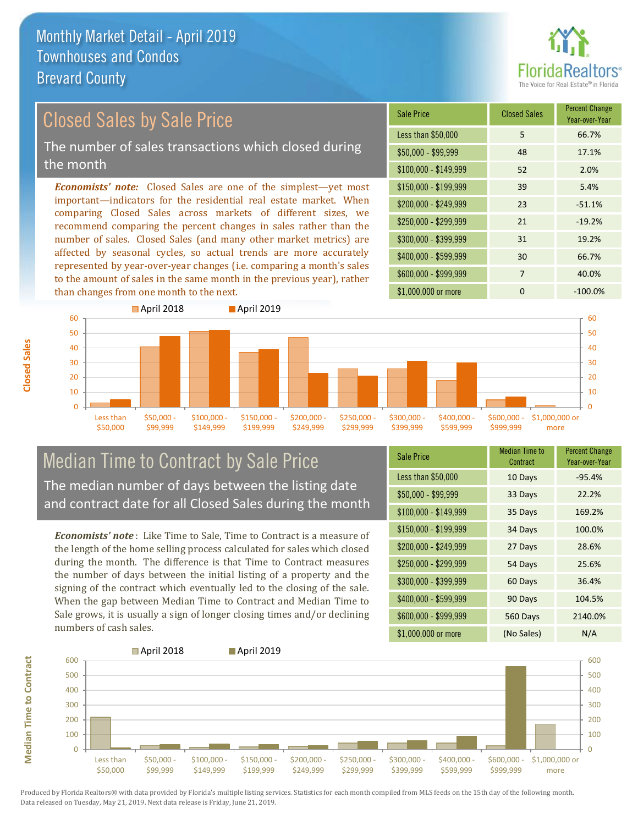

# Closed Sales by Sale Price

The number of sales transactions which closed during the month

*Economists' note:* Closed Sales are one of the simplest—yet most important—indicators for the residential real estate market. When comparing Closed Sales across markets of different sizes, we recommend comparing the percent changes in sales rather than the number of sales. Closed Sales (and many other market metrics) are affected by seasonal cycles, so actual trends are more accurately represented by year-over-year changes (i.e. comparing a month's sales to the amount of sales in the same month in the previous year), rather than changes from one month to the next.





## Median Time to Contract by Sale Price The median number of days between the listing date and contract date for all Closed Sales during the month

*Economists' note* : Like Time to Sale, Time to Contract is a measure of the length of the home selling process calculated for sales which closed during the month. The difference is that Time to Contract measures the number of days between the initial listing of a property and the signing of the contract which eventually led to the closing of the sale. When the gap between Median Time to Contract and Median Time to Sale grows, it is usually a sign of longer closing times and/or declining numbers of cash sales.

| <b>Sale Price</b>     | Median Time to<br>Contract | <b>Percent Change</b><br>Year-over-Year |
|-----------------------|----------------------------|-----------------------------------------|
| Less than \$50,000    | 10 Days                    | $-95.4%$                                |
| $$50,000 - $99,999$   | 33 Days                    | 22.2%                                   |
| $$100,000 - $149,999$ | 35 Days                    | 169.2%                                  |
| $$150,000 - $199,999$ | 34 Days                    | 100.0%                                  |
| \$200,000 - \$249,999 | 27 Days                    | 28.6%                                   |
| \$250,000 - \$299,999 | 54 Days                    | 25.6%                                   |
| \$300,000 - \$399,999 | 60 Days                    | 36.4%                                   |
| \$400,000 - \$599,999 | 90 Days                    | 104.5%                                  |
| \$600,000 - \$999,999 | 560 Days                   | 2140.0%                                 |
| \$1,000,000 or more   | (No Sales)                 | N/A                                     |

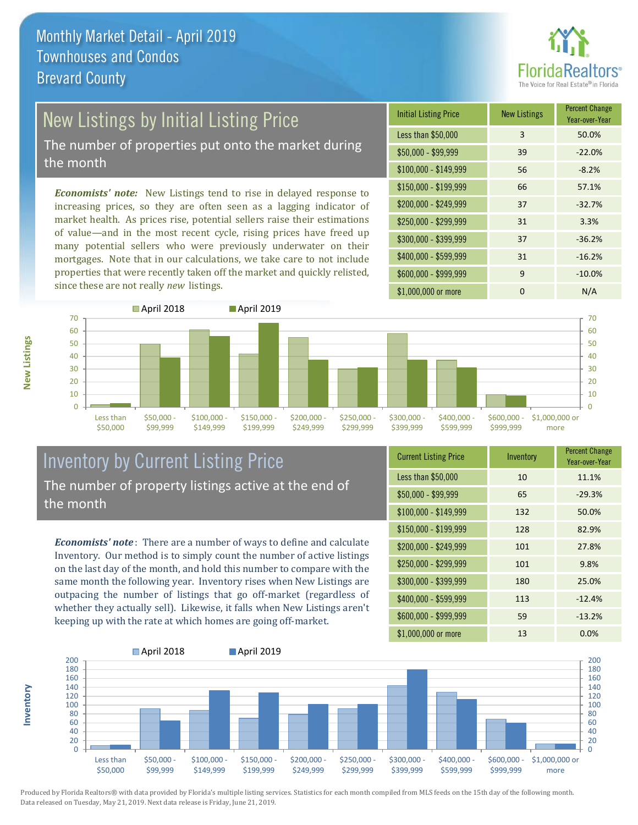

# New Listings by Initial Listing Price

The number of properties put onto the market during the month

*Economists' note:* New Listings tend to rise in delayed response to increasing prices, so they are often seen as a lagging indicator of market health. As prices rise, potential sellers raise their estimations of value—and in the most recent cycle, rising prices have freed up many potential sellers who were previously underwater on their mortgages. Note that in our calculations, we take care to not include properties that were recently taken off the market and quickly relisted, since these are not really *new* listings.

| <b>Initial Listing Price</b> | <b>New Listings</b> | <b>Percent Change</b><br>Year-over-Year |
|------------------------------|---------------------|-----------------------------------------|
| Less than \$50,000           | 3                   | 50.0%                                   |
| $$50,000 - $99,999$          | 39                  | $-22.0%$                                |
| $$100,000 - $149,999$        | 56                  | $-8.2%$                                 |
| \$150,000 - \$199,999        | 66                  | 57.1%                                   |
| \$200,000 - \$249,999        | 37                  | $-32.7%$                                |
| \$250,000 - \$299,999        | 31                  | 3.3%                                    |
| \$300,000 - \$399,999        | 37                  | $-36.2%$                                |
| \$400,000 - \$599,999        | 31                  | $-16.2%$                                |
| \$600,000 - \$999,999        | 9                   | $-10.0%$                                |
| \$1,000,000 or more          | n                   | N/A                                     |



## Inventory by Current Listing Price The number of property listings active at the end of the month

*Economists' note* : There are a number of ways to define and calculate Inventory. Our method is to simply count the number of active listings on the last day of the month, and hold this number to compare with the same month the following year. Inventory rises when New Listings are outpacing the number of listings that go off-market (regardless of whether they actually sell). Likewise, it falls when New Listings aren't keeping up with the rate at which homes are going off-market.

| <b>Current Listing Price</b> | Inventory | <b>Percent Change</b><br>Year-over-Year |
|------------------------------|-----------|-----------------------------------------|
| Less than \$50,000           | 10        | 11.1%                                   |
| $$50,000 - $99,999$          | 65        | $-29.3%$                                |
| $$100,000 - $149,999$        | 132       | 50.0%                                   |
| $$150,000 - $199,999$        | 128       | 82.9%                                   |
| \$200,000 - \$249,999        | 101       | 27.8%                                   |
| \$250,000 - \$299,999        | 101       | 9.8%                                    |
| \$300,000 - \$399,999        | 180       | 25.0%                                   |
| $$400,000 - $599,999$        | 113       | $-12.4%$                                |
| \$600,000 - \$999,999        | 59        | $-13.2%$                                |
| \$1,000,000 or more          | 13        | 0.0%                                    |



**New Listings**

**Inventory**